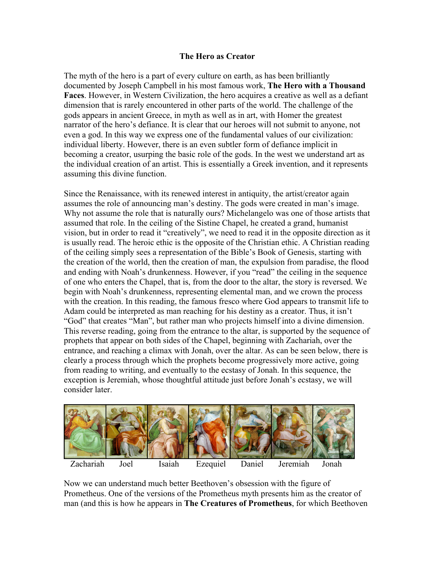## **The Hero as Creator**

The myth of the hero is a part of every culture on earth, as has been brilliantly documented by Joseph Campbell in his most famous work, **The Hero with a Thousand Faces**. However, in Western Civilization, the hero acquires a creative as well as a defiant dimension that is rarely encountered in other parts of the world. The challenge of the gods appears in ancient Greece, in myth as well as in art, with Homer the greatest narrator of the hero's defiance. It is clear that our heroes will not submit to anyone, not even a god. In this way we express one of the fundamental values of our civilization: individual liberty. However, there is an even subtler form of defiance implicit in becoming a creator, usurping the basic role of the gods. In the west we understand art as the individual creation of an artist. This is essentially a Greek invention, and it represents assuming this divine function.

Since the Renaissance, with its renewed interest in antiquity, the artist/creator again assumes the role of announcing man's destiny. The gods were created in man's image. Why not assume the role that is naturally ours? Michelangelo was one of those artists that assumed that role. In the ceiling of the Sistine Chapel, he created a grand, humanist vision, but in order to read it "creatively", we need to read it in the opposite direction as it is usually read. The heroic ethic is the opposite of the Christian ethic. A Christian reading of the ceiling simply sees a representation of the Bible's Book of Genesis, starting with the creation of the world, then the creation of man, the expulsion from paradise, the flood and ending with Noah's drunkenness. However, if you "read" the ceiling in the sequence of one who enters the Chapel, that is, from the door to the altar, the story is reversed. We begin with Noah's drunkenness, representing elemental man, and we crown the process with the creation. In this reading, the famous fresco where God appears to transmit life to Adam could be interpreted as man reaching for his destiny as a creator. Thus, it isn't "God" that creates "Man", but rather man who projects himself into a divine dimension. This reverse reading, going from the entrance to the altar, is supported by the sequence of prophets that appear on both sides of the Chapel, beginning with Zachariah, over the entrance, and reaching a climax with Jonah, over the altar. As can be seen below, there is clearly a process through which the prophets become progressively more active, going from reading to writing, and eventually to the ecstasy of Jonah. In this sequence, the exception is Jeremiah, whose thoughtful attitude just before Jonah's ecstasy, we will consider later.



Now we can understand much better Beethoven's obsession with the figure of Prometheus. One of the versions of the Prometheus myth presents him as the creator of man (and this is how he appears in **The Creatures of Prometheus**, for which Beethoven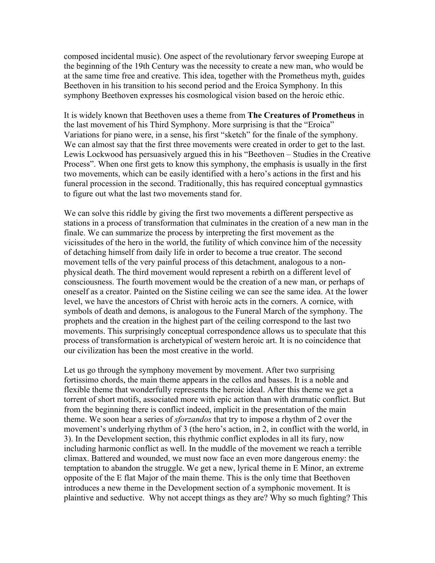composed incidental music). One aspect of the revolutionary fervor sweeping Europe at the beginning of the 19th Century was the necessity to create a new man, who would be at the same time free and creative. This idea, together with the Prometheus myth, guides Beethoven in his transition to his second period and the Eroica Symphony. In this symphony Beethoven expresses his cosmological vision based on the heroic ethic.

It is widely known that Beethoven uses a theme from **The Creatures of Prometheus** in the last movement of his Third Symphony. More surprising is that the "Eroica" Variations for piano were, in a sense, his first "sketch" for the finale of the symphony. We can almost say that the first three movements were created in order to get to the last. Lewis Lockwood has persuasively argued this in his "Beethoven – Studies in the Creative Process". When one first gets to know this symphony, the emphasis is usually in the first two movements, which can be easily identified with a hero's actions in the first and his funeral procession in the second. Traditionally, this has required conceptual gymnastics to figure out what the last two movements stand for.

We can solve this riddle by giving the first two movements a different perspective as stations in a process of transformation that culminates in the creation of a new man in the finale. We can summarize the process by interpreting the first movement as the vicissitudes of the hero in the world, the futility of which convince him of the necessity of detaching himself from daily life in order to become a true creator. The second movement tells of the very painful process of this detachment, analogous to a nonphysical death. The third movement would represent a rebirth on a different level of consciousness. The fourth movement would be the creation of a new man, or perhaps of oneself as a creator. Painted on the Sistine ceiling we can see the same idea. At the lower level, we have the ancestors of Christ with heroic acts in the corners. A cornice, with symbols of death and demons, is analogous to the Funeral March of the symphony. The prophets and the creation in the highest part of the ceiling correspond to the last two movements. This surprisingly conceptual correspondence allows us to speculate that this process of transformation is archetypical of western heroic art. It is no coincidence that our civilization has been the most creative in the world.

Let us go through the symphony movement by movement. After two surprising fortissimo chords, the main theme appears in the cellos and basses. It is a noble and flexible theme that wonderfully represents the heroic ideal. After this theme we get a torrent of short motifs, associated more with epic action than with dramatic conflict. But from the beginning there is conflict indeed, implicit in the presentation of the main theme. We soon hear a series of *sforzandos* that try to impose a rhythm of 2 over the movement's underlying rhythm of 3 (the hero's action, in 2, in conflict with the world, in 3). In the Development section, this rhythmic conflict explodes in all its fury, now including harmonic conflict as well. In the muddle of the movement we reach a terrible climax. Battered and wounded, we must now face an even more dangerous enemy: the temptation to abandon the struggle. We get a new, lyrical theme in E Minor, an extreme opposite of the E flat Major of the main theme. This is the only time that Beethoven introduces a new theme in the Development section of a symphonic movement. It is plaintive and seductive. Why not accept things as they are? Why so much fighting? This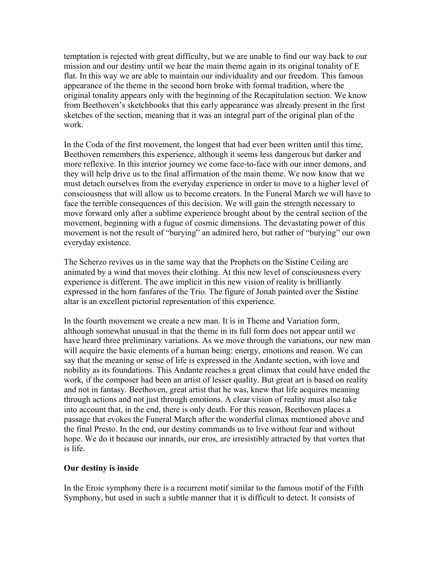temptation is rejected with great difficulty, but we are unable to find our way back to our mission and our destiny until we hear the main theme again in its original tonality of E flat. In this way we are able to maintain our individuality and our freedom. This famous appearance of the theme in the second horn broke with formal tradition, where the original tonality appears only with the beginning of the Recapitulation section. We know from Beethoven's sketchbooks that this early appearance was already present in the first sketches of the section, meaning that it was an integral part of the original plan of the work.

In the Coda of the first movement, the longest that had ever been written until this time, Beethoven remembers this experience, although it seems less dangerous but darker and more reflexive. In this interior journey we come face-to-face with our inner demons, and they will help drive us to the final affirmation of the main theme. We now know that we must detach ourselves from the everyday experience in order to move to a higher level of consciousness that will allow us to become creators. In the Funeral March we will have to face the terrible consequences of this decision. We will gain the strength necessary to move forward only after a sublime experience brought about by the central section of the movement, beginning with a fugue of cosmic dimensions. The devastating power of this movement is not the result of "burying" an admired hero, but rather of "burying" our own everyday existence.

The Scherzo revives us in the same way that the Prophets on the Sistine Ceiling are animated by a wind that moves their clothing. At this new level of consciousness every experience is different. The awe implicit in this new vision of reality is brilliantly expressed in the horn fanfares of the Trio. The figure of Jonah painted over the Sistine altar is an excellent pictorial representation of this experience.

In the fourth movement we create a new man. It is in Theme and Variation form, although somewhat unusual in that the theme in its full form does not appear until we have heard three preliminary variations. As we move through the variations, our new man will acquire the basic elements of a human being: energy, emotions and reason. We can say that the meaning or sense of life is expressed in the Andante section, with love and nobility as its foundations. This Andante reaches a great climax that could have ended the work, if the composer had been an artist of lesser quality. But great art is based on reality and not in fantasy. Beethoven, great artist that he was, knew that life acquires meaning through actions and not just through emotions. A clear vision of reality must also take into account that, in the end, there is only death. For this reason, Beethoven places a passage that evokes the Funeral March after the wonderful climax mentioned above and the final Presto. In the end, our destiny commands us to live without fear and without hope. We do it because our innards, our eros, are irresistibly attracted by that vortex that is life.

## **Our destiny is inside**

In the Eroic symphony there is a recurrent motif similar to the famous motif of the Fifth Symphony, but used in such a subtle manner that it is difficult to detect. It consists of